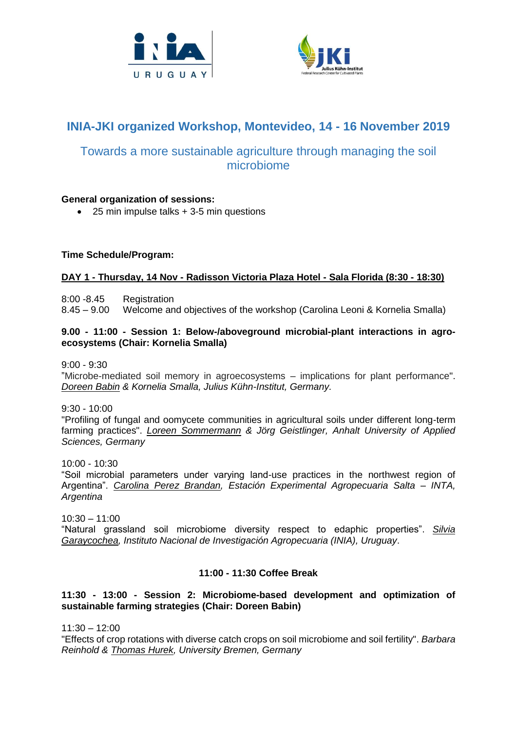



# **INIA-JKI organized Workshop, Montevideo, 14 - 16 November 2019**

## Towards a more sustainable agriculture through managing the soil microbiome

## **General organization of sessions:**

• 25 min impulse talks + 3-5 min questions

## **Time Schedule/Program:**

## **DAY 1 - Thursday, 14 Nov - Radisson Victoria Plaza Hotel - Sala Florida (8:30 - 18:30)**

8:00 -8.45 Registration

8.45 – 9.00 Welcome and objectives of the workshop (Carolina Leoni & Kornelia Smalla)

#### **9.00 - 11:00 - Session 1: Below-/aboveground microbial-plant interactions in agroecosystems (Chair: Kornelia Smalla)**

9:00 - 9:30

"Microbe-mediated soil memory in agroecosystems – implications for plant performance". *Doreen Babin & Kornelia Smalla, Julius Kühn-Institut, Germany.*

9:30 - 10:00

"Profiling of fungal and oomycete communities in agricultural soils under different long-term farming practices". *Loreen Sommermann & Jörg Geistlinger, Anhalt University of Applied Sciences, Germany* 

10:00 - 10:30

"Soil microbial parameters under varying land-use practices in the northwest region of Argentina". *Carolina Perez Brandan, Estación Experimental Agropecuaria Salta – INTA, Argentina*

10:30 – 11:00 "Natural grassland soil microbiome diversity respect to edaphic properties". *Silvia Garaycochea, Instituto Nacional de Investigación Agropecuaria (INIA), Uruguay*.

## **11:00 - 11:30 Coffee Break**

## **11:30 - 13:00 - Session 2: Microbiome-based development and optimization of sustainable farming strategies (Chair: Doreen Babin)**

 $11:30 - 12:00$ 

"Effects of crop rotations with diverse catch crops on soil microbiome and soil fertility". *Barbara Reinhold & Thomas Hurek, University Bremen, Germany*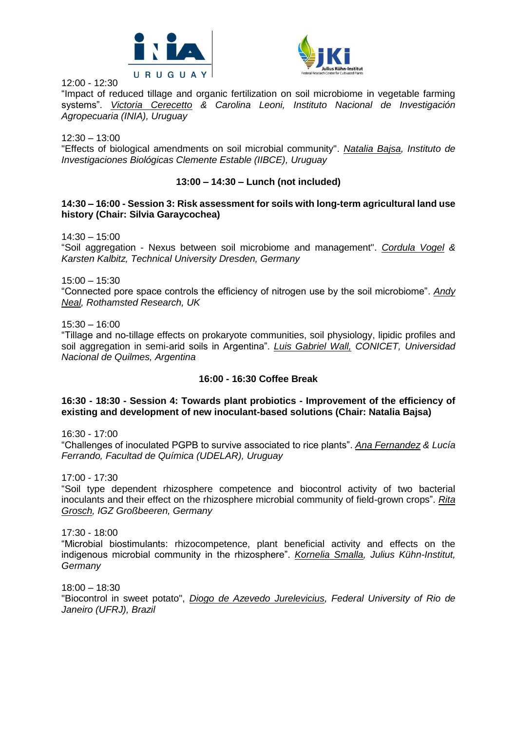



12:00 - 12:30

"Impact of reduced tillage and organic fertilization on soil microbiome in vegetable farming systems". *Victoria Cerecetto & Carolina Leoni, Instituto Nacional de Investigación Agropecuaria (INIA), Uruguay* 

12:30 – 13:00

"Effects of biological amendments on soil microbial community". *Natalia Bajsa, Instituto de Investigaciones Biológicas Clemente Estable (IIBCE), Uruguay*

## **13:00 – 14:30 – Lunch (not included)**

#### **14:30 – 16:00 - Session 3: Risk assessment for soils with long-term agricultural land use history (Chair: Silvia Garaycochea)**

 $14:30 - 15:00$ 

"Soil aggregation - Nexus between soil microbiome and management". *Cordula Vogel & Karsten Kalbitz, Technical University Dresden, Germany*

15:00 – 15:30

"Connected pore space controls the efficiency of nitrogen use by the soil microbiome". *Andy Neal, Rothamsted Research, UK*

15:30 – 16:00

"Tillage and no-tillage effects on prokaryote communities, soil physiology, lipidic profiles and soil aggregation in semi-arid soils in Argentina". *Luis Gabriel Wall, CONICET, Universidad Nacional de Quilmes, Argentina*

## **16:00 - 16:30 Coffee Break**

#### **16:30 - 18:30 - Session 4: Towards plant probiotics - Improvement of the efficiency of existing and development of new inoculant-based solutions (Chair: Natalia Bajsa)**

16:30 - 17:00

"Challenges of inoculated PGPB to survive associated to rice plants". *Ana Fernandez & Lucía Ferrando, Facultad de Química (UDELAR), Uruguay*

17:00 - 17:30

"Soil type dependent rhizosphere competence and biocontrol activity of two bacterial inoculants and their effect on the rhizosphere microbial community of field-grown crops". *Rita Grosch, IGZ Großbeeren, Germany*

17:30 - 18:00

"Microbial biostimulants: rhizocompetence, plant beneficial activity and effects on the indigenous microbial community in the rhizosphere". *Kornelia Smalla, Julius Kühn-Institut, Germany*

18:00 – 18:30

"Biocontrol in sweet potato", *Diogo de Azevedo Jurelevicius, Federal University of Rio de Janeiro (UFRJ), Brazil*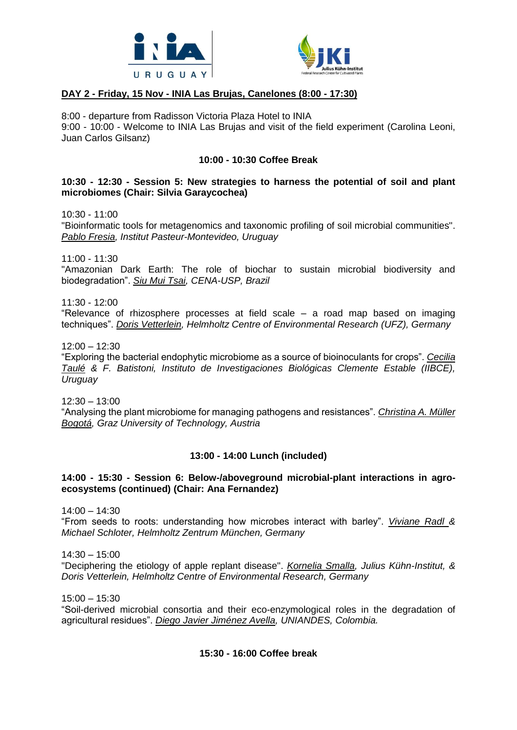



## **DAY 2 - Friday, 15 Nov - INIA Las Brujas, Canelones (8:00 - 17:30)**

8:00 - departure from Radisson Victoria Plaza Hotel to INIA 9:00 - 10:00 - Welcome to INIA Las Brujas and visit of the field experiment (Carolina Leoni, Juan Carlos Gilsanz)

#### **10:00 - 10:30 Coffee Break**

#### **10:30 - 12:30 - Session 5: New strategies to harness the potential of soil and plant microbiomes (Chair: Silvia Garaycochea)**

10:30 - 11:00

"Bioinformatic tools for metagenomics and taxonomic profiling of soil microbial communities". *Pablo Fresia, Institut Pasteur-Montevideo, Uruguay*

11:00 - 11:30

"Amazonian Dark Earth: The role of biochar to sustain microbial biodiversity and biodegradation". *Siu Mui Tsai, CENA-USP, Brazil*

 $11:30 - 12:00$ 

"Relevance of rhizosphere processes at field scale – a road map based on imaging techniques". *Doris Vetterlein, Helmholtz Centre of Environmental Research (UFZ), Germany*

12:00 – 12:30

"Exploring the bacterial endophytic microbiome as a source of bioinoculants for crops". *Cecilia Taulé & F. Batistoni, Instituto de Investigaciones Biológicas Clemente Estable (IIBCE), Uruguay*

12:30 – 13:00

"Analysing the plant microbiome for managing pathogens and resistances". *Christina A. Müller Bogotá, Graz University of Technology, Austria*

## **13:00 - 14:00 Lunch (included)**

#### **14:00 - 15:30 - Session 6: Below-/aboveground microbial-plant interactions in agroecosystems (continued) (Chair: Ana Fernandez)**

14:00 – 14:30

"From seeds to roots: understanding how microbes interact with barley". *Viviane Radl & Michael Schloter, Helmholtz Zentrum München, Germany*

14:30 – 15:00

"Deciphering the etiology of apple replant disease". *Kornelia Smalla, Julius Kühn-Institut, & Doris Vetterlein, Helmholtz Centre of Environmental Research, Germany*

15:00 – 15:30

"Soil-derived microbial consortia and their eco-enzymological roles in the degradation of agricultural residues". *Diego Javier Jiménez Avella, UNIANDES, Colombia.*

## **15:30 - 16:00 Coffee break**